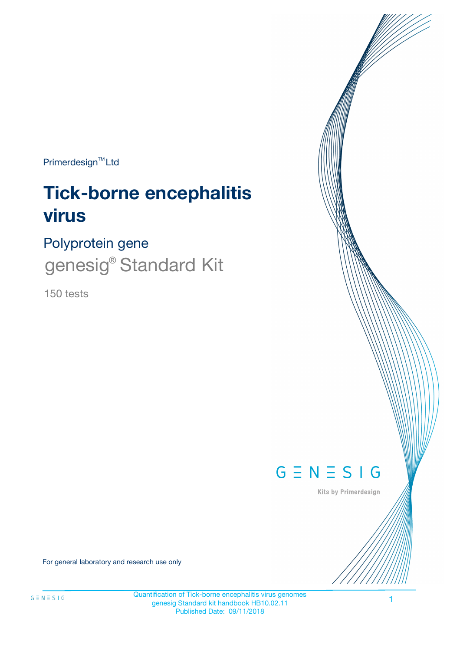Primerdesign<sup>™</sup>Ltd

# **Tick-borne encephalitis virus**

## Polyprotein gene

genesig<sup>®</sup> Standard Kit

150 tests



Kits by Primerdesign

For general laboratory and research use only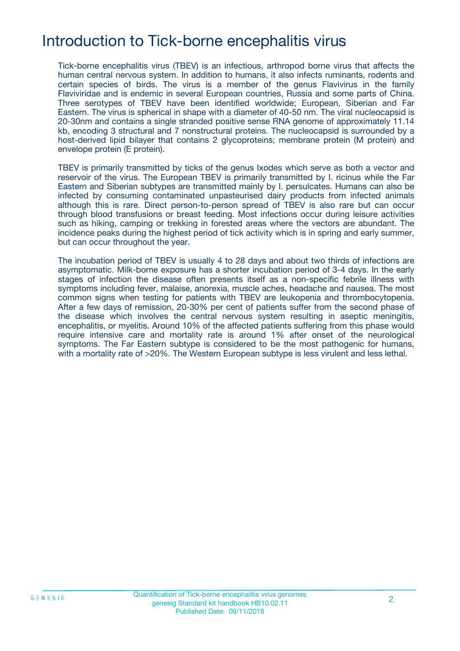## Introduction to Tick-borne encephalitis virus

Tick-borne encephalitis virus (TBEV) is an infectious, arthropod borne virus that affects the human central nervous system. In addition to humans, it also infects ruminants, rodents and certain species of birds. The virus is a member of the genus Flavivirus in the family Flaviviridae and is endemic in several European countries, Russia and some parts of China. Three serotypes of TBEV have been identified worldwide; European, Siberian and Far Eastern. The virus is spherical in shape with a diameter of 40-50 nm. The viral nucleocapsid is 20-30nm and contains a single stranded positive sense RNA genome of approximately 11.14 kb, encoding 3 structural and 7 nonstructural proteins. The nucleocapsid is surrounded by a host-derived lipid bilayer that contains 2 glycoproteins; membrane protein (M protein) and envelope protein (E protein).

TBEV is primarily transmitted by ticks of the genus Ixodes which serve as both a vector and reservoir of the virus. The European TBEV is primarily transmitted by I. ricinus while the Far Eastern and Siberian subtypes are transmitted mainly by I. persulcates. Humans can also be infected by consuming contaminated unpasteurised dairy products from infected animals although this is rare. Direct person-to-person spread of TBEV is also rare but can occur through blood transfusions or breast feeding. Most infections occur during leisure activities such as hiking, camping or trekking in forested areas where the vectors are abundant. The incidence peaks during the highest period of tick activity which is in spring and early summer, but can occur throughout the year.

The incubation period of TBEV is usually 4 to 28 days and about two thirds of infections are asymptomatic. Milk-borne exposure has a shorter incubation period of 3-4 days. In the early stages of infection the disease often presents itself as a non-specific febrile illness with symptoms including fever, malaise, anorexia, muscle aches, headache and nausea. The most common signs when testing for patients with TBEV are leukopenia and thrombocytopenia. After a few days of remission, 20-30% per cent of patients suffer from the second phase of the disease which involves the central nervous system resulting in aseptic meningitis, encephalitis, or myelitis. Around 10% of the affected patients suffering from this phase would require intensive care and mortality rate is around 1% after onset of the neurological symptoms. The Far Eastern subtype is considered to be the most pathogenic for humans, with a mortality rate of >20%. The Western European subtype is less virulent and less lethal.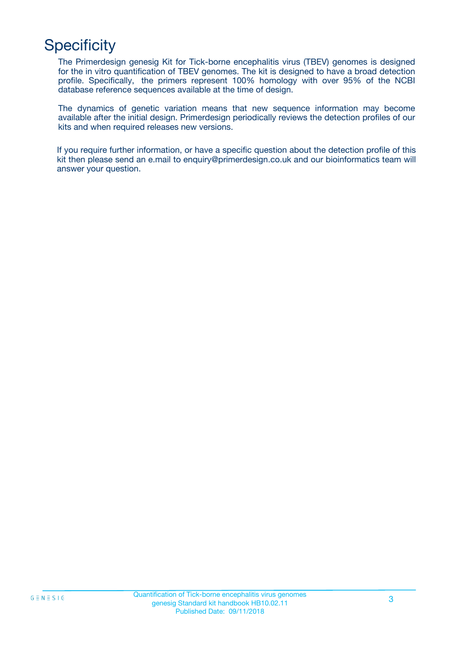## **Specificity**

The Primerdesign genesig Kit for Tick-borne encephalitis virus (TBEV) genomes is designed for the in vitro quantification of TBEV genomes. The kit is designed to have a broad detection profile. Specifically, the primers represent 100% homology with over 95% of the NCBI database reference sequences available at the time of design.

The dynamics of genetic variation means that new sequence information may become available after the initial design. Primerdesign periodically reviews the detection profiles of our kits and when required releases new versions.

If you require further information, or have a specific question about the detection profile of this kit then please send an e.mail to enquiry@primerdesign.co.uk and our bioinformatics team will answer your question.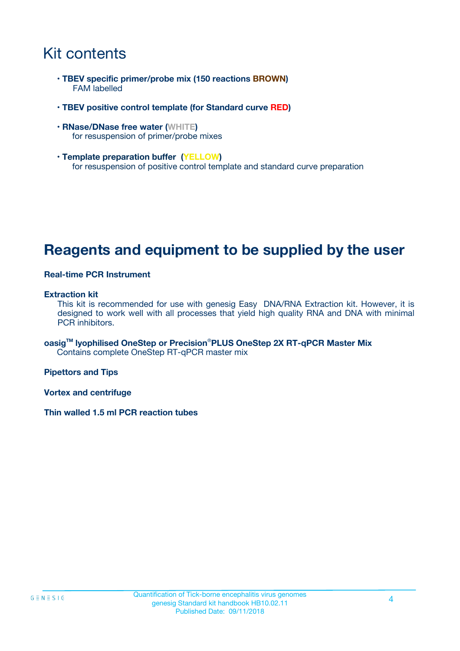### Kit contents

- **TBEV specific primer/probe mix (150 reactions BROWN)** FAM labelled
- **TBEV positive control template (for Standard curve RED)**
- **RNase/DNase free water (WHITE)** for resuspension of primer/probe mixes
- **Template preparation buffer (YELLOW)** for resuspension of positive control template and standard curve preparation

### **Reagents and equipment to be supplied by the user**

#### **Real-time PCR Instrument**

#### **Extraction kit**

This kit is recommended for use with genesig Easy DNA/RNA Extraction kit. However, it is designed to work well with all processes that yield high quality RNA and DNA with minimal PCR inhibitors.

**oasigTM lyophilised OneStep or Precision**®**PLUS OneStep 2X RT-qPCR Master Mix** Contains complete OneStep RT-qPCR master mix

**Pipettors and Tips**

**Vortex and centrifuge**

**Thin walled 1.5 ml PCR reaction tubes**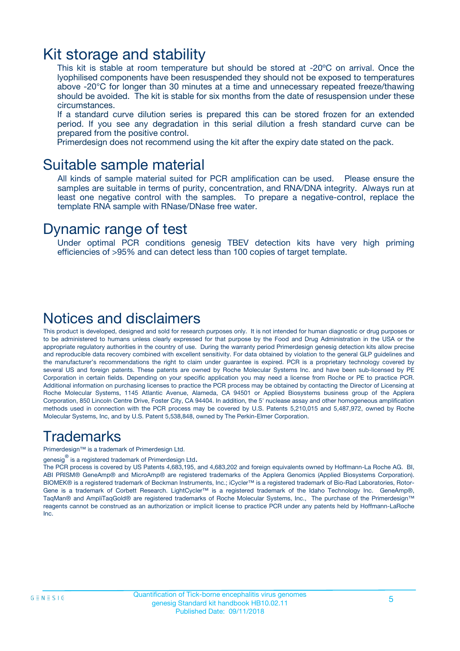### Kit storage and stability

This kit is stable at room temperature but should be stored at -20ºC on arrival. Once the lyophilised components have been resuspended they should not be exposed to temperatures above -20°C for longer than 30 minutes at a time and unnecessary repeated freeze/thawing should be avoided. The kit is stable for six months from the date of resuspension under these circumstances.

If a standard curve dilution series is prepared this can be stored frozen for an extended period. If you see any degradation in this serial dilution a fresh standard curve can be prepared from the positive control.

Primerdesign does not recommend using the kit after the expiry date stated on the pack.

### Suitable sample material

All kinds of sample material suited for PCR amplification can be used. Please ensure the samples are suitable in terms of purity, concentration, and RNA/DNA integrity. Always run at least one negative control with the samples. To prepare a negative-control, replace the template RNA sample with RNase/DNase free water.

### Dynamic range of test

Under optimal PCR conditions genesig TBEV detection kits have very high priming efficiencies of >95% and can detect less than 100 copies of target template.

### Notices and disclaimers

This product is developed, designed and sold for research purposes only. It is not intended for human diagnostic or drug purposes or to be administered to humans unless clearly expressed for that purpose by the Food and Drug Administration in the USA or the appropriate regulatory authorities in the country of use. During the warranty period Primerdesign genesig detection kits allow precise and reproducible data recovery combined with excellent sensitivity. For data obtained by violation to the general GLP guidelines and the manufacturer's recommendations the right to claim under guarantee is expired. PCR is a proprietary technology covered by several US and foreign patents. These patents are owned by Roche Molecular Systems Inc. and have been sub-licensed by PE Corporation in certain fields. Depending on your specific application you may need a license from Roche or PE to practice PCR. Additional information on purchasing licenses to practice the PCR process may be obtained by contacting the Director of Licensing at Roche Molecular Systems, 1145 Atlantic Avenue, Alameda, CA 94501 or Applied Biosystems business group of the Applera Corporation, 850 Lincoln Centre Drive, Foster City, CA 94404. In addition, the 5' nuclease assay and other homogeneous amplification methods used in connection with the PCR process may be covered by U.S. Patents 5,210,015 and 5,487,972, owned by Roche Molecular Systems, Inc, and by U.S. Patent 5,538,848, owned by The Perkin-Elmer Corporation.

### Trademarks

Primerdesign™ is a trademark of Primerdesign Ltd.

genesig $^\circledR$  is a registered trademark of Primerdesign Ltd.

The PCR process is covered by US Patents 4,683,195, and 4,683,202 and foreign equivalents owned by Hoffmann-La Roche AG. BI, ABI PRISM® GeneAmp® and MicroAmp® are registered trademarks of the Applera Genomics (Applied Biosystems Corporation). BIOMEK® is a registered trademark of Beckman Instruments, Inc.; iCycler™ is a registered trademark of Bio-Rad Laboratories, Rotor-Gene is a trademark of Corbett Research. LightCycler™ is a registered trademark of the Idaho Technology Inc. GeneAmp®, TaqMan® and AmpliTaqGold® are registered trademarks of Roche Molecular Systems, Inc., The purchase of the Primerdesign™ reagents cannot be construed as an authorization or implicit license to practice PCR under any patents held by Hoffmann-LaRoche Inc.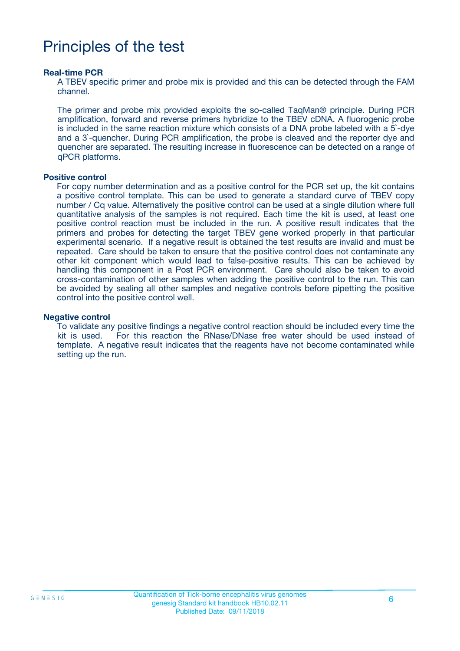## Principles of the test

#### **Real-time PCR**

A TBEV specific primer and probe mix is provided and this can be detected through the FAM channel.

The primer and probe mix provided exploits the so-called TaqMan® principle. During PCR amplification, forward and reverse primers hybridize to the TBEV cDNA. A fluorogenic probe is included in the same reaction mixture which consists of a DNA probe labeled with a 5`-dye and a 3`-quencher. During PCR amplification, the probe is cleaved and the reporter dye and quencher are separated. The resulting increase in fluorescence can be detected on a range of qPCR platforms.

#### **Positive control**

For copy number determination and as a positive control for the PCR set up, the kit contains a positive control template. This can be used to generate a standard curve of TBEV copy number / Cq value. Alternatively the positive control can be used at a single dilution where full quantitative analysis of the samples is not required. Each time the kit is used, at least one positive control reaction must be included in the run. A positive result indicates that the primers and probes for detecting the target TBEV gene worked properly in that particular experimental scenario. If a negative result is obtained the test results are invalid and must be repeated. Care should be taken to ensure that the positive control does not contaminate any other kit component which would lead to false-positive results. This can be achieved by handling this component in a Post PCR environment. Care should also be taken to avoid cross-contamination of other samples when adding the positive control to the run. This can be avoided by sealing all other samples and negative controls before pipetting the positive control into the positive control well.

#### **Negative control**

To validate any positive findings a negative control reaction should be included every time the kit is used. For this reaction the RNase/DNase free water should be used instead of template. A negative result indicates that the reagents have not become contaminated while setting up the run.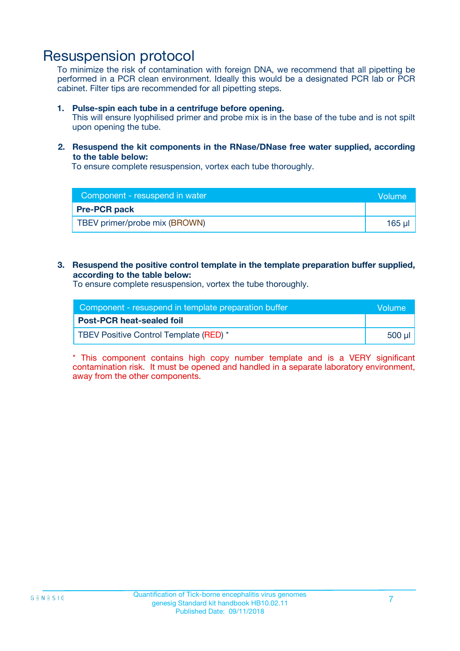### Resuspension protocol

To minimize the risk of contamination with foreign DNA, we recommend that all pipetting be performed in a PCR clean environment. Ideally this would be a designated PCR lab or PCR cabinet. Filter tips are recommended for all pipetting steps.

#### **1. Pulse-spin each tube in a centrifuge before opening.**

This will ensure lyophilised primer and probe mix is in the base of the tube and is not spilt upon opening the tube.

#### **2. Resuspend the kit components in the RNase/DNase free water supplied, according to the table below:**

To ensure complete resuspension, vortex each tube thoroughly.

| Component - resuspend in water | <b>Nolume</b> |
|--------------------------------|---------------|
| <b>Pre-PCR pack</b>            |               |
| TBEV primer/probe mix (BROWN)  | 165 µl        |

#### **3. Resuspend the positive control template in the template preparation buffer supplied, according to the table below:**

To ensure complete resuspension, vortex the tube thoroughly.

| Component - resuspend in template preparation buffer |        |  |
|------------------------------------------------------|--------|--|
| <b>Post-PCR heat-sealed foil</b>                     |        |  |
| TBEV Positive Control Template (RED) *               | 500 µl |  |

\* This component contains high copy number template and is a VERY significant contamination risk. It must be opened and handled in a separate laboratory environment, away from the other components.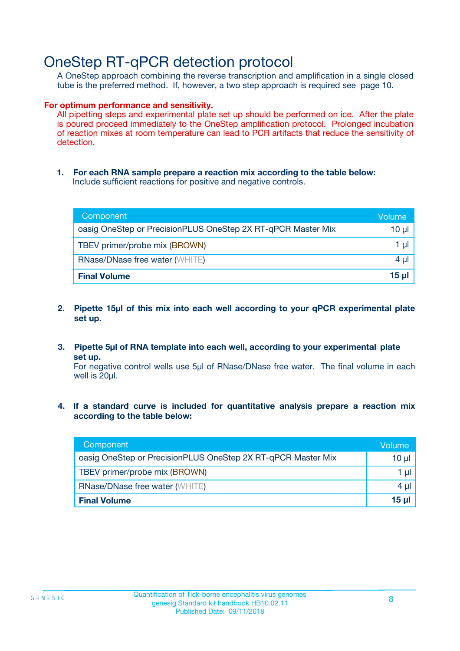### OneStep RT-qPCR detection protocol

A OneStep approach combining the reverse transcription and amplification in a single closed tube is the preferred method. If, however, a two step approach is required see page 10.

#### **For optimum performance and sensitivity.**

All pipetting steps and experimental plate set up should be performed on ice. After the plate is poured proceed immediately to the OneStep amplification protocol. Prolonged incubation of reaction mixes at room temperature can lead to PCR artifacts that reduce the sensitivity of detection.

**1. For each RNA sample prepare a reaction mix according to the table below:** Include sufficient reactions for positive and negative controls.

| Component                                                    | Volume     |
|--------------------------------------------------------------|------------|
| oasig OneStep or PrecisionPLUS OneStep 2X RT-qPCR Master Mix | $10 \mu$   |
| TBEV primer/probe mix (BROWN)                                | 1 µl       |
| <b>RNase/DNase free water (WHITE)</b>                        | 4 µl       |
| <b>Final Volume</b>                                          | $15$ $\mu$ |

- **2. Pipette 15µl of this mix into each well according to your qPCR experimental plate set up.**
- **3. Pipette 5µl of RNA template into each well, according to your experimental plate set up.**

For negative control wells use 5µl of RNase/DNase free water. The final volume in each well is 20ul.

**4. If a standard curve is included for quantitative analysis prepare a reaction mix according to the table below:**

| Component                                                    | Volume   |
|--------------------------------------------------------------|----------|
| oasig OneStep or PrecisionPLUS OneStep 2X RT-qPCR Master Mix | 10 µl    |
| TBEV primer/probe mix (BROWN)                                | 1 ul     |
| <b>RNase/DNase free water (WHITE)</b>                        | $4 \mu$  |
| <b>Final Volume</b>                                          | $15 \mu$ |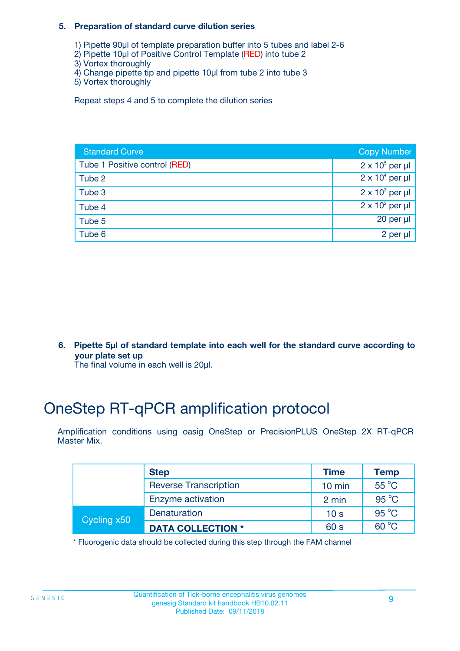#### **5. Preparation of standard curve dilution series**

- 1) Pipette 90µl of template preparation buffer into 5 tubes and label 2-6
- 2) Pipette 10µl of Positive Control Template (RED) into tube 2
- 3) Vortex thoroughly
- 4) Change pipette tip and pipette 10µl from tube 2 into tube 3
- 5) Vortex thoroughly

Repeat steps 4 and 5 to complete the dilution series

| <b>Standard Curve</b>         | <b>Copy Number</b>     |
|-------------------------------|------------------------|
| Tube 1 Positive control (RED) | $2 \times 10^5$ per µl |
| Tube 2                        | $2 \times 10^4$ per µl |
| Tube 3                        | $2 \times 10^3$ per µl |
| Tube 4                        | $2 \times 10^2$ per µl |
| Tube 5                        | 20 per $\mu$           |
| Tube 6                        | 2 per µl               |

**6. Pipette 5µl of standard template into each well for the standard curve according to your plate set up**

The final volume in each well is 20ul.

## OneStep RT-qPCR amplification protocol

Amplification conditions using oasig OneStep or PrecisionPLUS OneStep 2X RT-qPCR Master Mix.

|             | <b>Step</b>                  | <b>Time</b>      | <b>Temp</b>    |
|-------------|------------------------------|------------------|----------------|
|             | <b>Reverse Transcription</b> | $10 \text{ min}$ | $55^{\circ}$ C |
|             | Enzyme activation            | 2 min            | $95^{\circ}$ C |
| Cycling x50 | Denaturation                 | 10 <sub>s</sub>  | $95^{\circ}$ C |
|             | <b>DATA COLLECTION *</b>     | 60 s             | $60^{\circ}$ C |

\* Fluorogenic data should be collected during this step through the FAM channel